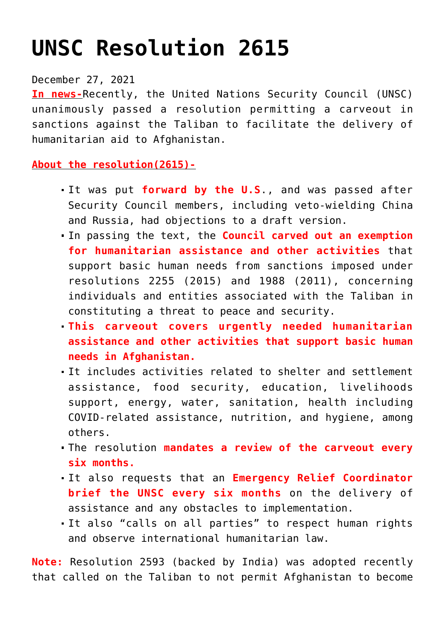## **[UNSC Resolution 2615](https://journalsofindia.com/unsc-resolution-2615/)**

## December 27, 2021

**In news-**Recently, the United Nations Security Council (UNSC) unanimously passed a resolution permitting a carveout in sanctions against the Taliban to facilitate the delivery of humanitarian aid to Afghanistan.

## **About the resolution(2615)-**

- It was put **forward by the U.S**., and was passed after Security Council members, including veto-wielding China and Russia, had objections to a draft version.
- In passing the text, the **Council carved out an exemption for humanitarian assistance and other activities** that support basic human needs from sanctions imposed under resolutions 2255 (2015) and 1988 (2011), concerning individuals and entities associated with the Taliban in constituting a threat to peace and security.
- **This carveout covers urgently needed humanitarian assistance and other activities that support basic human needs in Afghanistan.**
- It includes activities related to shelter and settlement assistance, food security, education, livelihoods support, energy, water, sanitation, health including COVID-related assistance, nutrition, and hygiene, among others.
- The resolution **mandates a review of the carveout every six months.**
- It also requests that an **Emergency Relief Coordinator brief the UNSC every six months** on the delivery of assistance and any obstacles to implementation.
- It also "calls on all parties" to respect human rights and observe international humanitarian law.

**Note:** Resolution 2593 (backed by India) was adopted recently that called on the Taliban to not permit Afghanistan to become